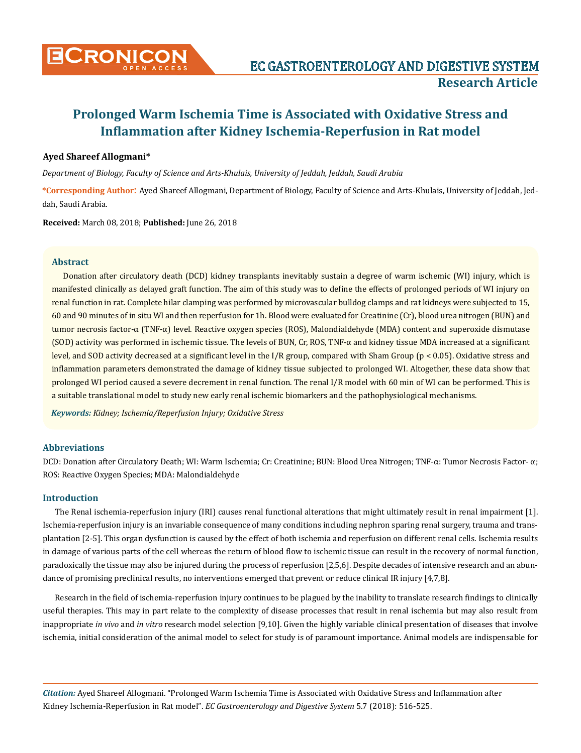

## **Ayed Shareef Allogmani\***

*Department of Biology, Faculty of Science and Arts-Khulais, University of Jeddah, Jeddah, Saudi Arabia* 

**\*Corresponding Author**: Ayed Shareef Allogmani, Department of Biology, Faculty of Science and Arts-Khulais, University of Jeddah, Jeddah, Saudi Arabia.

**Received:** March 08, 2018; **Published:** June 26, 2018

## **Abstract**

Donation after circulatory death (DCD) kidney transplants inevitably sustain a degree of warm ischemic (WI) injury, which is manifested clinically as delayed graft function. The aim of this study was to define the effects of prolonged periods of WI injury on renal function in rat. Complete hilar clamping was performed by microvascular bulldog clamps and rat kidneys were subjected to 15, 60 and 90 minutes of in situ WI and then reperfusion for 1h. Blood were evaluated for Creatinine (Cr), blood urea nitrogen (BUN) and tumor necrosis factor-α (TNF-α) level. Reactive oxygen species (ROS), Malondialdehyde (MDA) content and superoxide dismutase (SOD) activity was performed in ischemic tissue. The levels of BUN, Cr, ROS, TNF-α and kidney tissue MDA increased at a significant level, and SOD activity decreased at a significant level in the I/R group, compared with Sham Group (p < 0.05). Oxidative stress and inflammation parameters demonstrated the damage of kidney tissue subjected to prolonged WI. Altogether, these data show that prolonged WI period caused a severe decrement in renal function. The renal I/R model with 60 min of WI can be performed. This is a suitable translational model to study new early renal ischemic biomarkers and the pathophysiological mechanisms.

*Keywords: Kidney; Ischemia/Reperfusion Injury; Oxidative Stress*

# **Abbreviations**

DCD: Donation after Circulatory Death; WI: Warm Ischemia; Cr: Creatinine; BUN: Blood Urea Nitrogen; TNF-α: Tumor Necrosis Factor- α; ROS: Reactive Oxygen Species; MDA: Malondialdehyde

#### **Introduction**

The Renal ischemia-reperfusion injury (IRI) causes renal functional alterations that might ultimately result in renal impairment [1]. Ischemia-reperfusion injury is an invariable consequence of many conditions including nephron sparing renal surgery, trauma and transplantation [2-5]. This organ dysfunction is caused by the effect of both ischemia and reperfusion on different renal cells. Ischemia results in damage of various parts of the cell whereas the return of blood flow to ischemic tissue can result in the recovery of normal function, paradoxically the tissue may also be injured during the process of reperfusion [2,5,6]. Despite decades of intensive research and an abundance of promising preclinical results, no interventions emerged that prevent or reduce clinical IR injury [4,7,8].

Research in the field of ischemia-reperfusion injury continues to be plagued by the inability to translate research findings to clinically useful therapies. This may in part relate to the complexity of disease processes that result in renal ischemia but may also result from inappropriate *in vivo* and *in vitro* research model selection [9,10]. Given the highly variable clinical presentation of diseases that involve ischemia, initial consideration of the animal model to select for study is of paramount importance. Animal models are indispensable for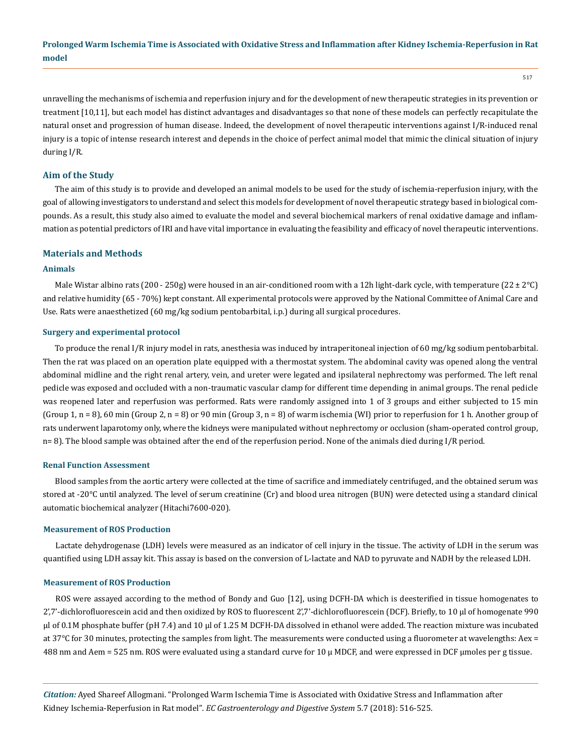unravelling the mechanisms of ischemia and reperfusion injury and for the development of new therapeutic strategies in its prevention or treatment [10,11], but each model has distinct advantages and disadvantages so that none of these models can perfectly recapitulate the natural onset and progression of human disease. Indeed, the development of novel therapeutic interventions against I/R-induced renal injury is a topic of intense research interest and depends in the choice of perfect animal model that mimic the clinical situation of injury during I/R.

#### **Aim of the Study**

The aim of this study is to provide and developed an animal models to be used for the study of ischemia-reperfusion injury, with the goal of allowing investigators to understand and select this models for development of novel therapeutic strategy based in biological compounds. As a result, this study also aimed to evaluate the model and several biochemical markers of renal oxidative damage and inflammation as potential predictors of IRI and have vital importance in evaluating the feasibility and efficacy of novel therapeutic interventions.

#### **Materials and Methods**

## **Animals**

Male Wistar albino rats (200 - 250g) were housed in an air-conditioned room with a 12h light-dark cycle, with temperature (22  $\pm$  2°C) and relative humidity (65 - 70%) kept constant. All experimental protocols were approved by the National Committee of Animal Care and Use. Rats were anaesthetized (60 mg/kg sodium pentobarbital, i.p.) during all surgical procedures.

#### **Surgery and experimental protocol**

To produce the renal I/R injury model in rats, anesthesia was induced by intraperitoneal injection of 60 mg/kg sodium pentobarbital. Then the rat was placed on an operation plate equipped with a thermostat system. The abdominal cavity was opened along the ventral abdominal midline and the right renal artery, vein, and ureter were legated and ipsilateral nephrectomy was performed. The left renal pedicle was exposed and occluded with a non-traumatic vascular clamp for different time depending in animal groups. The renal pedicle was reopened later and reperfusion was performed. Rats were randomly assigned into 1 of 3 groups and either subjected to 15 min (Group 1,  $n = 8$ ), 60 min (Group 2,  $n = 8$ ) or 90 min (Group 3,  $n = 8$ ) of warm ischemia (WI) prior to reperfusion for 1 h. Another group of rats underwent laparotomy only, where the kidneys were manipulated without nephrectomy or occlusion (sham-operated control group, n= 8). The blood sample was obtained after the end of the reperfusion period. None of the animals died during I/R period.

#### **Renal Function Assessment**

Blood samples from the aortic artery were collected at the time of sacrifice and immediately centrifuged, and the obtained serum was stored at -20°C until analyzed. The level of serum creatinine (Cr) and blood urea nitrogen (BUN) were detected using a standard clinical automatic biochemical analyzer (Hitachi7600-020).

#### **Measurement of ROS Production**

Lactate dehydrogenase (LDH) levels were measured as an indicator of cell injury in the tissue. The activity of LDH in the serum was quantified using LDH assay kit. This assay is based on the conversion of L-lactate and NAD to pyruvate and NADH by the released LDH.

#### **Measurement of ROS Production**

ROS were assayed according to the method of Bondy and Guo [12], using DCFH-DA which is deesterified in tissue homogenates to 2',7'-dichlorofluorescein acid and then oxidized by ROS to fluorescent 2',7'-dichlorofluorescein (DCF). Briefly, to 10 μl of homogenate 990 μl of 0.1M phosphate buffer (pH 7.4) and 10 μl of 1.25 M DCFH-DA dissolved in ethanol were added. The reaction mixture was incubated at 37°C for 30 minutes, protecting the samples from light. The measurements were conducted using a fluorometer at wavelengths: Aex = 488 nm and Aem = 525 nm. ROS were evaluated using a standard curve for 10 μ MDCF, and were expressed in DCF μmoles per g tissue.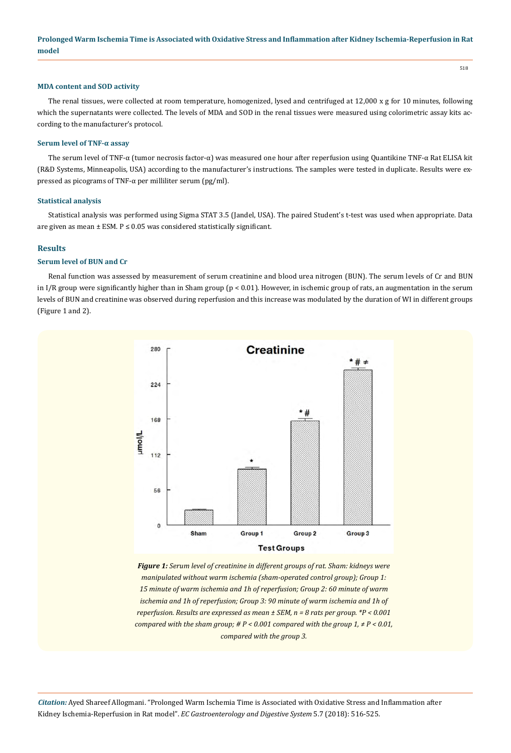#### **MDA content and SOD activity**

The renal tissues, were collected at room temperature, homogenized, lysed and centrifuged at 12,000 x g for 10 minutes, following which the supernatants were collected. The levels of MDA and SOD in the renal tissues were measured using colorimetric assay kits according to the manufacturer's protocol.

#### **Serum level of TNF-α assay**

The serum level of TNF-α (tumor necrosis factor-α) was measured one hour after reperfusion using Quantikine TNF-α Rat ELISA kit (R&D Systems, Minneapolis, USA) according to the manufacturer's instructions. The samples were tested in duplicate. Results were expressed as picograms of TNF-α per milliliter serum (pg/ml).

#### **Statistical analysis**

Statistical analysis was performed using Sigma STAT 3.5 (Jandel, USA). The paired Student's t-test was used when appropriate. Data are given as mean  $\pm$  ESM. P  $\leq$  0.05 was considered statistically significant.

# **Results**

# **Serum level of BUN and Cr**

Renal function was assessed by measurement of serum creatinine and blood urea nitrogen (BUN). The serum levels of Cr and BUN in I/R group were significantly higher than in Sham group  $(p < 0.01)$ . However, in ischemic group of rats, an augmentation in the serum levels of BUN and creatinine was observed during reperfusion and this increase was modulated by the duration of WI in different groups (Figure 1 and 2).



*Figure 1: Serum level of creatinine in different groups of rat. Sham: kidneys were manipulated without warm ischemia (sham-operated control group); Group 1: 15 minute of warm ischemia and 1h of reperfusion; Group 2: 60 minute of warm ischemia and 1h of reperfusion; Group 3: 90 minute of warm ischemia and 1h of reperfusion. Results are expressed as mean ± SEM, n = 8 rats per group. \*P < 0.001 compared with the sham group; # P < 0.001 compared with the group 1, ≠ P < 0.01, compared with the group 3.*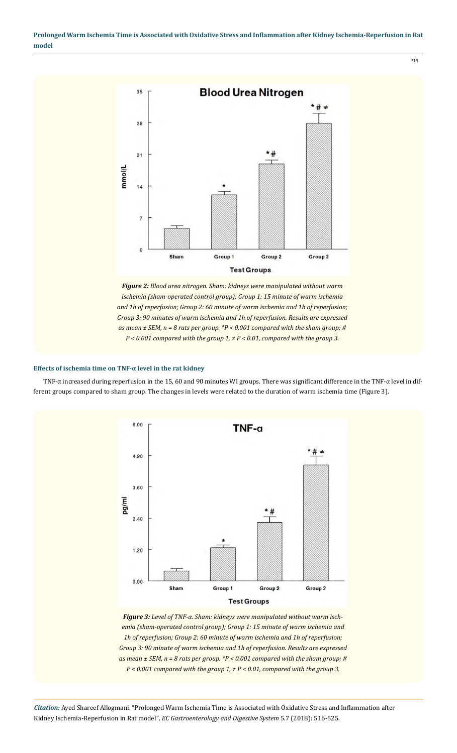

*P < 0.001 compared with the group 1, ≠ P < 0.01, compared with the group 3.*

# **Effects of ischemia time on TNF-α level in the rat kidney**

TNF-α increased during reperfusion in the 15, 60 and 90 minutes WI groups. There was significant difference in the TNF-α level in different groups compared to sham group. The changes in levels were related to the duration of warm ischemia time (Figure 3).



*Figure 3: Level of TNF-α. Sham: kidneys were manipulated without warm ischemia (sham-operated control group); Group 1: 15 minute of warm ischemia and 1h of reperfusion; Group 2: 60 minute of warm ischemia and 1h of reperfusion; Group 3: 90 minute of warm ischemia and 1h of reperfusion. Results are expressed as mean ± SEM, n = 8 rats per group. \*P < 0.001 compared with the sham group; # P < 0.001 compared with the group 1, ≠ P < 0.01, compared with the group 3.*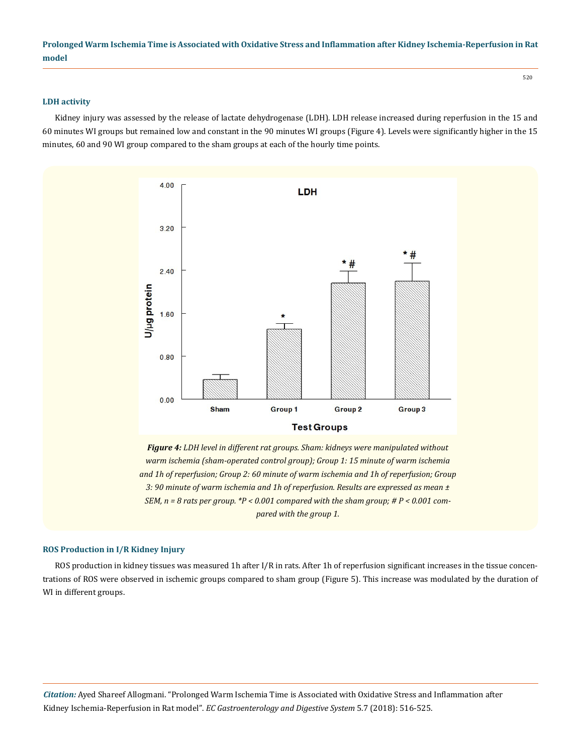#### **LDH activity**

Kidney injury was assessed by the release of lactate dehydrogenase (LDH). LDH release increased during reperfusion in the 15 and 60 minutes WI groups but remained low and constant in the 90 minutes WI groups (Figure 4). Levels were significantly higher in the 15 minutes, 60 and 90 WI group compared to the sham groups at each of the hourly time points.



*Figure 4: LDH level in different rat groups. Sham: kidneys were manipulated without warm ischemia (sham-operated control group); Group 1: 15 minute of warm ischemia and 1h of reperfusion; Group 2: 60 minute of warm ischemia and 1h of reperfusion; Group 3: 90 minute of warm ischemia and 1h of reperfusion. Results are expressed as mean ± SEM, n = 8 rats per group. \*P < 0.001 compared with the sham group; # P < 0.001 compared with the group 1.*

## **ROS Production in I/R Kidney Injury**

ROS production in kidney tissues was measured 1h after I/R in rats. After 1h of reperfusion significant increases in the tissue concentrations of ROS were observed in ischemic groups compared to sham group (Figure 5). This increase was modulated by the duration of WI in different groups.

*Citation:* Ayed Shareef Allogmani. "Prolonged Warm Ischemia Time is Associated with Oxidative Stress and Inflammation after Kidney Ischemia-Reperfusion in Rat model". *EC Gastroenterology and Digestive System* 5.7 (2018): 516-525.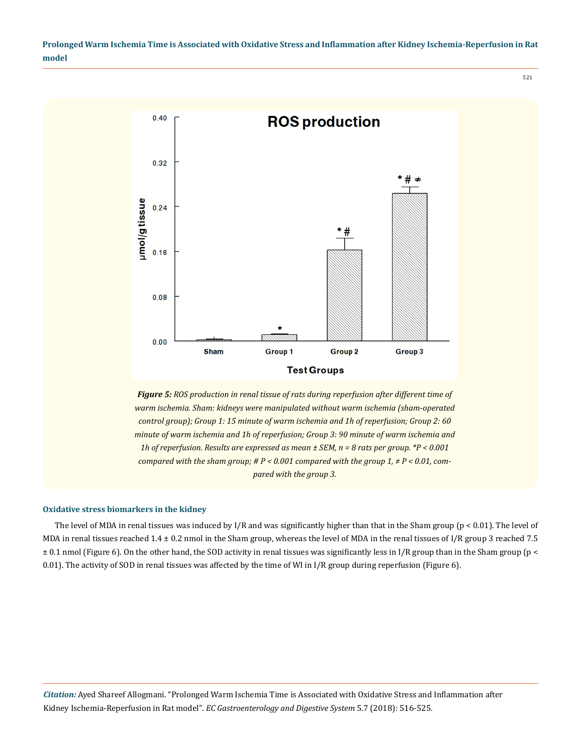

*Figure 5: ROS production in renal tissue of rats during reperfusion after different time of warm ischemia. Sham: kidneys were manipulated without warm ischemia (sham-operated control group); Group 1: 15 minute of warm ischemia and 1h of reperfusion; Group 2: 60 minute of warm ischemia and 1h of reperfusion; Group 3: 90 minute of warm ischemia and 1h of reperfusion. Results are expressed as mean ± SEM, n = 8 rats per group. \*P < 0.001 compared with the sham group; # P < 0.001 compared with the group 1, ≠ P < 0.01, compared with the group 3.*

#### **Oxidative stress biomarkers in the kidney**

The level of MDA in renal tissues was induced by I/R and was significantly higher than that in the Sham group ( $p < 0.01$ ). The level of MDA in renal tissues reached  $1.4 \pm 0.2$  nmol in the Sham group, whereas the level of MDA in the renal tissues of I/R group 3 reached 7.5  $\pm$  0.1 nmol (Figure 6). On the other hand, the SOD activity in renal tissues was significantly less in I/R group than in the Sham group (p < 0.01). The activity of SOD in renal tissues was affected by the time of WI in I/R group during reperfusion (Figure 6).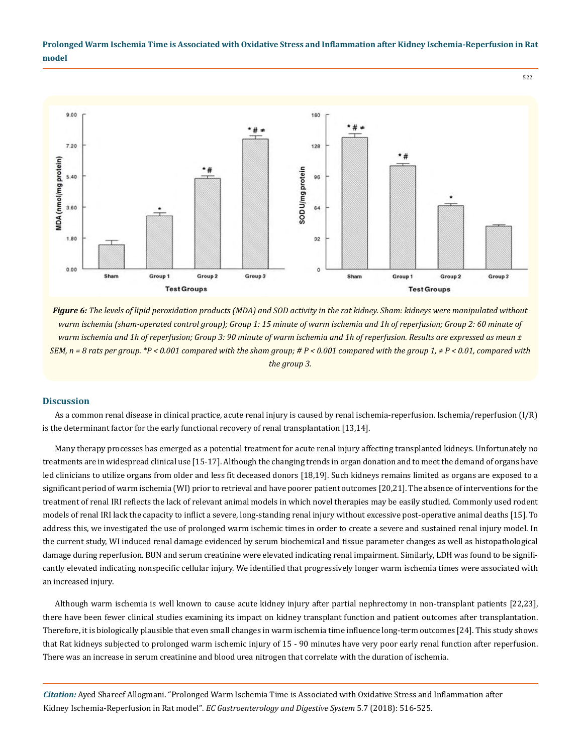

*Figure 6: The levels of lipid peroxidation products (MDA) and SOD activity in the rat kidney. Sham: kidneys were manipulated without warm ischemia (sham-operated control group); Group 1: 15 minute of warm ischemia and 1h of reperfusion; Group 2: 60 minute of warm ischemia and 1h of reperfusion; Group 3: 90 minute of warm ischemia and 1h of reperfusion. Results are expressed as mean ± SEM, n = 8 rats per group. \*P < 0.001 compared with the sham group; # P < 0.001 compared with the group 1, ≠ P < 0.01, compared with the group 3.*

## **Discussion**

As a common renal disease in clinical practice, acute renal injury is caused by renal ischemia-reperfusion. Ischemia/reperfusion (I/R) is the determinant factor for the early functional recovery of renal transplantation [13,14].

Many therapy processes has emerged as a potential treatment for acute renal injury affecting transplanted kidneys. Unfortunately no treatments are in widespread clinical use [15-17]. Although the changing trends in organ donation and to meet the demand of organs have led clinicians to utilize organs from older and less fit deceased donors [18,19]. Such kidneys remains limited as organs are exposed to a significant period of warm ischemia (WI) prior to retrieval and have poorer patient outcomes [20,21]. The absence of interventions for the treatment of renal IRI reflects the lack of relevant animal models in which novel therapies may be easily studied. Commonly used rodent models of renal IRI lack the capacity to inflict a severe, long-standing renal injury without excessive post-operative animal deaths [15]. To address this, we investigated the use of prolonged warm ischemic times in order to create a severe and sustained renal injury model. In the current study, WI induced renal damage evidenced by serum biochemical and tissue parameter changes as well as histopathological damage during reperfusion. BUN and serum creatinine were elevated indicating renal impairment. Similarly, LDH was found to be significantly elevated indicating nonspecific cellular injury. We identified that progressively longer warm ischemia times were associated with an increased injury.

Although warm ischemia is well known to cause acute kidney injury after partial nephrectomy in non-transplant patients [22,23], there have been fewer clinical studies examining its impact on kidney transplant function and patient outcomes after transplantation. Therefore, it is biologically plausible that even small changes in warm ischemia time influence long-term outcomes [24]. This study shows that Rat kidneys subjected to prolonged warm ischemic injury of 15 - 90 minutes have very poor early renal function after reperfusion. There was an increase in serum creatinine and blood urea nitrogen that correlate with the duration of ischemia.

*Citation:* Ayed Shareef Allogmani. "Prolonged Warm Ischemia Time is Associated with Oxidative Stress and Inflammation after Kidney Ischemia-Reperfusion in Rat model". *EC Gastroenterology and Digestive System* 5.7 (2018): 516-525.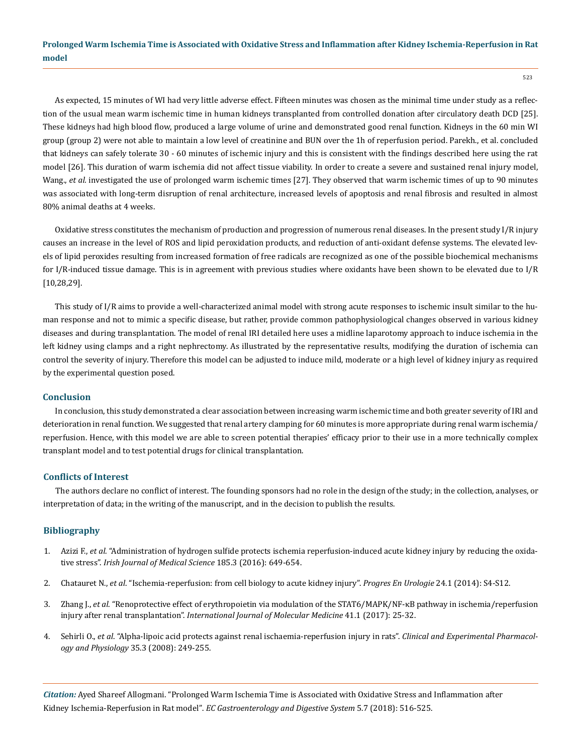As expected, 15 minutes of WI had very little adverse effect. Fifteen minutes was chosen as the minimal time under study as a reflection of the usual mean warm ischemic time in human kidneys transplanted from controlled donation after circulatory death DCD [25]. These kidneys had high blood flow, produced a large volume of urine and demonstrated good renal function. Kidneys in the 60 min WI group (group 2) were not able to maintain a low level of creatinine and BUN over the 1h of reperfusion period. Parekh., et al. concluded that kidneys can safely tolerate 30 - 60 minutes of ischemic injury and this is consistent with the findings described here using the rat model [26]. This duration of warm ischemia did not affect tissue viability. In order to create a severe and sustained renal injury model, Wang., *et al.* investigated the use of prolonged warm ischemic times [27]. They observed that warm ischemic times of up to 90 minutes was associated with long-term disruption of renal architecture, increased levels of apoptosis and renal fibrosis and resulted in almost 80% animal deaths at 4 weeks.

Oxidative stress constitutes the mechanism of production and progression of numerous renal diseases. In the present study I/R injury causes an increase in the level of ROS and lipid peroxidation products, and reduction of anti-oxidant defense systems. The elevated levels of lipid peroxides resulting from increased formation of free radicals are recognized as one of the possible biochemical mechanisms for I/R-induced tissue damage. This is in agreement with previous studies where oxidants have been shown to be elevated due to I/R [10,28,29].

This study of I/R aims to provide a well‐characterized animal model with strong acute responses to ischemic insult similar to the human response and not to mimic a specific disease, but rather, provide common pathophysiological changes observed in various kidney diseases and during transplantation. The model of renal IRI detailed here uses a midline laparotomy approach to induce ischemia in the left kidney using clamps and a right nephrectomy. As illustrated by the representative results, modifying the duration of ischemia can control the severity of injury. Therefore this model can be adjusted to induce mild, moderate or a high level of kidney injury as required by the experimental question posed.

#### **Conclusion**

In conclusion, this study demonstrated a clear association between increasing warm ischemic time and both greater severity of IRI and deterioration in renal function. We suggested that renal artery clamping for 60 minutes is more appropriate during renal warm ischemia/ reperfusion. Hence, with this model we are able to screen potential therapies' efficacy prior to their use in a more technically complex transplant model and to test potential drugs for clinical transplantation.

## **Conflicts of Interest**

The authors declare no conflict of interest. The founding sponsors had no role in the design of the study; in the collection, analyses, or interpretation of data; in the writing of the manuscript, and in the decision to publish the results.

## **Bibliography**

- 1. Azizi F., *et al*[. "Administration of hydrogen sulfide protects ischemia reperfusion-induced acute kidney injury by reducing the oxida](https://www.ncbi.nlm.nih.gov/pubmed/26141462)tive stress". *[Irish Journal of Medical Science](https://www.ncbi.nlm.nih.gov/pubmed/26141462)* 185.3 (2016): 649-654.
- 2. Chatauret N., *et al*[. "Ischemia-reperfusion: from cell biology to acute kidney injury".](https://www.ncbi.nlm.nih.gov/pubmed/24950932) *Progres En Urologie* 24.1 (2014): S4-S12.
- 3. Zhang J., *et al*[. "Renoprotective effect of erythropoietin via modulation of the STAT6/MAPK/NF-κB pathway in ischemia/reperfusion](https://www.ncbi.nlm.nih.gov/pubmed/29115389) injury after renal transplantation". *[International Journal of Molecular Medicine](https://www.ncbi.nlm.nih.gov/pubmed/29115389)* 41.1 (2017): 25-32.
- 4. Sehirli O., *et al*[. "Alpha-lipoic acid protects against renal ischaemia-reperfusion injury in rats".](https://www.ncbi.nlm.nih.gov/pubmed/17941895) *Clinical and Experimental Pharmacology and Physiology* [35.3 \(2008\): 249-255.](https://www.ncbi.nlm.nih.gov/pubmed/17941895)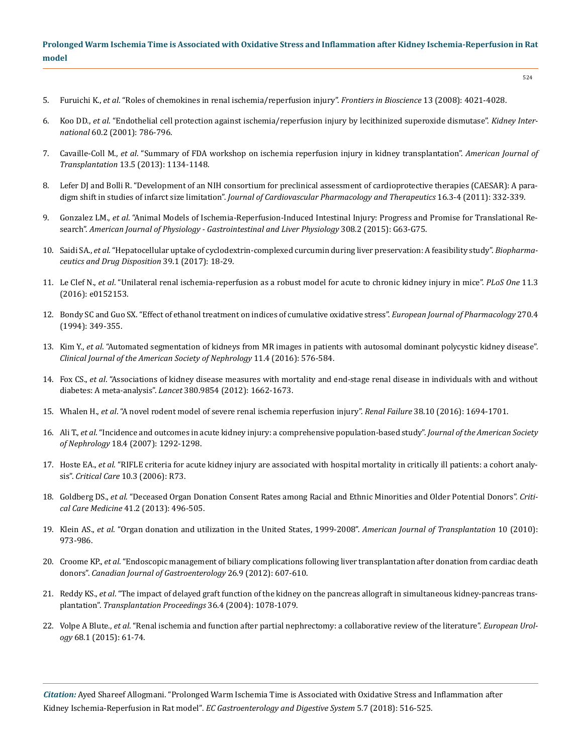- 5. Furuichi K., *et al*[. "Roles of chemokines in renal ischemia/reperfusion injury".](https://www.ncbi.nlm.nih.gov/pubmed/18508496) *Frontiers in Bioscience* 13 (2008): 4021-4028.
- 6. Koo DD., *et al*[. "Endothelial cell protection against ischemia/reperfusion injury by lecithinized superoxide dismutase".](https://www.ncbi.nlm.nih.gov/pubmed/11473663) *Kidney International* [60.2 \(2001\): 786-796.](https://www.ncbi.nlm.nih.gov/pubmed/11473663)
- 7. Cavaille-Coll M., *et al*[. "Summary of FDA workshop on ischemia reperfusion injury in kidney transplantation".](https://www.ncbi.nlm.nih.gov/pubmed/23566221) *American Journal of Transplantation* [13.5 \(2013\): 1134-1148.](https://www.ncbi.nlm.nih.gov/pubmed/23566221)
- 8. [Lefer DJ and Bolli R. "Development of an NIH consortium for preclinical assessment of cardioprotective therapies \(CAESAR\): A para](https://www.ncbi.nlm.nih.gov/pubmed/21821536)digm shift in studies of infarct size limitation". *[Journal of Cardiovascular Pharmacology and Therapeutics](https://www.ncbi.nlm.nih.gov/pubmed/21821536)* 16.3-4 (2011): 332-339.
- 9. Gonzalez LM., *et al*[. "Animal Models of Ischemia-Reperfusion-Induced Intestinal Injury: Progress and Promise for Translational Re](https://www.ncbi.nlm.nih.gov/pubmed/25414098)search". *[American Journal of Physiology - Gastrointestinal and Liver Physiology](https://www.ncbi.nlm.nih.gov/pubmed/25414098)* 308.2 (2015): G63-G75.
- 10. Saidi SA., *et al*[. "Hepatocellular uptake of cyclodextrin-complexed curcumin during liver preservation: A feasibility study".](https://www.ncbi.nlm.nih.gov/pubmed/28972677) *Biopharma[ceutics and Drug Disposition](https://www.ncbi.nlm.nih.gov/pubmed/28972677)* 39.1 (2017): 18-29.
- 11. Le Clef N., *et al*[. "Unilateral renal ischemia-reperfusion as a robust model for acute to chronic kidney injury in mice".](https://www.ncbi.nlm.nih.gov/pubmed/27007127) *PLoS One* 11.3 [\(2016\): e0152153.](https://www.ncbi.nlm.nih.gov/pubmed/27007127)
- 12. [Bondy SC and Guo SX. "Effect of ethanol treatment on indices of cumulative oxidative stress".](https://www.ncbi.nlm.nih.gov/pubmed/7805784) *European Journal of Pharmacology* 270.4 [\(1994\): 349-355.](https://www.ncbi.nlm.nih.gov/pubmed/7805784)
- 13. Kim Y., *et al*[. "Automated segmentation of kidneys from MR images in patients with autosomal dominant polycystic kidney disease".](https://www.ncbi.nlm.nih.gov/pubmed/26797708)  *[Clinical Journal of the American Society of Nephrology](https://www.ncbi.nlm.nih.gov/pubmed/26797708)* 11.4 (2016): 576-584.
- 14. Fox CS., *et al*[. "Associations of kidney disease measures with mortality and end-stage renal disease in individuals with and without](https://www.ncbi.nlm.nih.gov/pubmed/23013602)  diabetes: A meta-analysis". *Lancet* [380.9854 \(2012\): 1662-1673.](https://www.ncbi.nlm.nih.gov/pubmed/23013602)
- 15. Whalen H., *et al*[. "A novel rodent model of severe renal ischemia reperfusion injury".](https://www.ncbi.nlm.nih.gov/pubmed/26887330) *Renal Failure* 38.10 (2016): 1694-1701.
- 16. Ali T., *et al*[. "Incidence and outcomes in acute kidney injury: a comprehensive population-based study".](https://www.ncbi.nlm.nih.gov/pubmed/17314324) *Journal of the American Society of Nephrology* [18.4 \(2007\): 1292-1298.](https://www.ncbi.nlm.nih.gov/pubmed/17314324)
- 17. Hoste EA., *et al*[. "RIFLE criteria for acute kidney injury are associated with hospital mortality in critically ill patients: a cohort analy](https://www.ncbi.nlm.nih.gov/pubmed/16696865)sis". *Critical Care* [10.3 \(2006\): R73.](https://www.ncbi.nlm.nih.gov/pubmed/16696865)
- 18. Goldberg DS., *et al*[. "Deceased Organ Donation Consent Rates among Racial and Ethnic Minorities and Older Potential Donors".](https://www.ncbi.nlm.nih.gov/pubmed/23263585) *Critical Care Medicine* [41.2 \(2013\): 496-505.](https://www.ncbi.nlm.nih.gov/pubmed/23263585)
- 19. Klein AS., *et al*[. "Organ donation and utilization in the United States, 1999-2008".](https://www.ncbi.nlm.nih.gov/pubmed/20420647) *American Journal of Transplantation* 10 (2010): [973-986.](https://www.ncbi.nlm.nih.gov/pubmed/20420647)
- 20. Croome KP., *et al*[. "Endoscopic management of biliary complications following liver transplantation after donation from cardiac death](https://www.ncbi.nlm.nih.gov/pubmed/22993731)  donors". *[Canadian Journal of Gastroenterology](https://www.ncbi.nlm.nih.gov/pubmed/22993731)* 26.9 (2012): 607-610.
- 21. Reddy KS., *et al*[. "The impact of delayed graft function of the kidney on the pancreas allograft in simultaneous kidney-pancreas trans](https://www.ncbi.nlm.nih.gov/pubmed/15194374)plantation". *[Transplantation Proceedings](https://www.ncbi.nlm.nih.gov/pubmed/15194374)* 36.4 (2004): 1078-1079.
- 22. Volpe A Blute., *et al*[. "Renal ischemia and function after partial nephrectomy: a collaborative review of the literature".](https://www.ncbi.nlm.nih.gov/pubmed/25703575) *European Urology* [68.1 \(2015\): 61-74.](https://www.ncbi.nlm.nih.gov/pubmed/25703575)

*Citation:* Ayed Shareef Allogmani. "Prolonged Warm Ischemia Time is Associated with Oxidative Stress and Inflammation after Kidney Ischemia-Reperfusion in Rat model". *EC Gastroenterology and Digestive System* 5.7 (2018): 516-525.